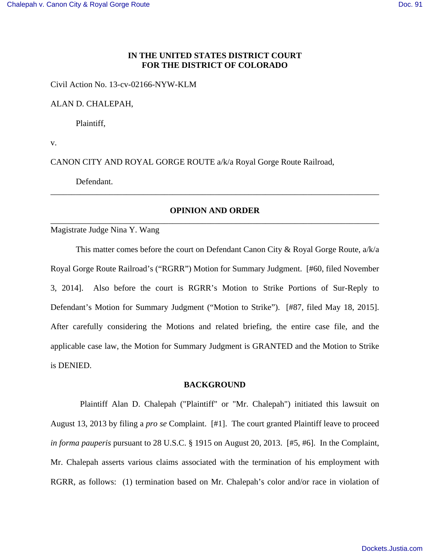# **IN THE UNITED STATES DISTRICT COURT FOR THE DISTRICT OF COLORADO**

Civil Action No. 13-cv-02166-NYW-KLM

ALAN D. CHALEPAH,

Plaintiff,

v.

CANON CITY AND ROYAL GORGE ROUTE a/k/a Royal Gorge Route Railroad,

Defendant.

# **OPINION AND ORDER** \_\_\_\_\_\_\_\_\_\_\_\_\_\_\_\_\_\_\_\_\_\_\_\_\_\_\_\_\_\_\_\_\_\_\_\_\_\_\_\_\_\_\_\_\_\_\_\_\_\_\_\_\_\_\_\_\_\_\_\_\_\_\_\_\_\_\_\_\_\_\_\_\_\_\_\_\_\_

\_\_\_\_\_\_\_\_\_\_\_\_\_\_\_\_\_\_\_\_\_\_\_\_\_\_\_\_\_\_\_\_\_\_\_\_\_\_\_\_\_\_\_\_\_\_\_\_\_\_\_\_\_\_\_\_\_\_\_\_\_\_\_\_\_\_\_\_\_\_\_\_\_\_\_\_\_\_

Magistrate Judge Nina Y. Wang

 This matter comes before the court on Defendant Canon City & Royal Gorge Route, a/k/a Royal Gorge Route Railroad's ("RGRR") Motion for Summary Judgment. [#60, filed November 3, 2014]. Also before the court is RGRR's Motion to Strike Portions of Sur-Reply to Defendant's Motion for Summary Judgment ("Motion to Strike"). [#87, filed May 18, 2015]. After carefully considering the Motions and related briefing, the entire case file, and the applicable case law, the Motion for Summary Judgment is GRANTED and the Motion to Strike is DENIED.

#### **BACKGROUND**

 Plaintiff Alan D. Chalepah ("Plaintiff" or "Mr. Chalepah") initiated this lawsuit on August 13, 2013 by filing a *pro se* Complaint. [#1]. The court granted Plaintiff leave to proceed *in forma pauperis* pursuant to 28 U.S.C. § 1915 on August 20, 2013. [#5, #6]. In the Complaint, Mr. Chalepah asserts various claims associated with the termination of his employment with RGRR, as follows: (1) termination based on Mr. Chalepah's color and/or race in violation of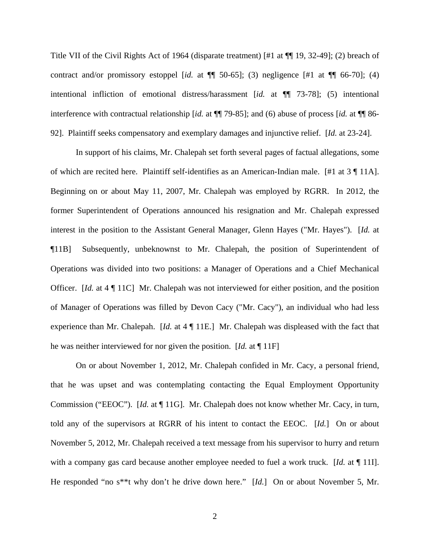Title VII of the Civil Rights Act of 1964 (disparate treatment) [#1 at ¶¶ 19, 32-49]; (2) breach of contract and/or promissory estoppel [*id.* at  $\P$  50-65]; (3) negligence [#1 at  $\P$  66-70]; (4) intentional infliction of emotional distress/harassment [*id.* at ¶¶ 73-78]; (5) intentional interference with contractual relationship [*id.* at ¶¶ 79-85]; and (6) abuse of process [*id.* at ¶¶ 86- 92]. Plaintiff seeks compensatory and exemplary damages and injunctive relief. [*Id.* at 23-24].

In support of his claims, Mr. Chalepah set forth several pages of factual allegations, some of which are recited here. Plaintiff self-identifies as an American-Indian male. [#1 at 3 ¶ 11A]. Beginning on or about May 11, 2007, Mr. Chalepah was employed by RGRR. In 2012, the former Superintendent of Operations announced his resignation and Mr. Chalepah expressed interest in the position to the Assistant General Manager, Glenn Hayes ("Mr. Hayes"). [*Id.* at ¶11B] Subsequently, unbeknownst to Mr. Chalepah, the position of Superintendent of Operations was divided into two positions: a Manager of Operations and a Chief Mechanical Officer. [*Id.* at 4 ¶ 11C] Mr. Chalepah was not interviewed for either position, and the position of Manager of Operations was filled by Devon Cacy ("Mr. Cacy"), an individual who had less experience than Mr. Chalepah. [*Id.* at 4 ¶ 11E.] Mr. Chalepah was displeased with the fact that he was neither interviewed for nor given the position. [*Id.* at ¶ 11F]

On or about November 1, 2012, Mr. Chalepah confided in Mr. Cacy, a personal friend, that he was upset and was contemplating contacting the Equal Employment Opportunity Commission ("EEOC"). [*Id.* at ¶ 11G]. Mr. Chalepah does not know whether Mr. Cacy, in turn, told any of the supervisors at RGRR of his intent to contact the EEOC. [*Id.*] On or about November 5, 2012, Mr. Chalepah received a text message from his supervisor to hurry and return with a company gas card because another employee needed to fuel a work truck. [*Id.* at ¶ 11I]. He responded "no s\*\*t why don't he drive down here." [*Id.*] On or about November 5, Mr.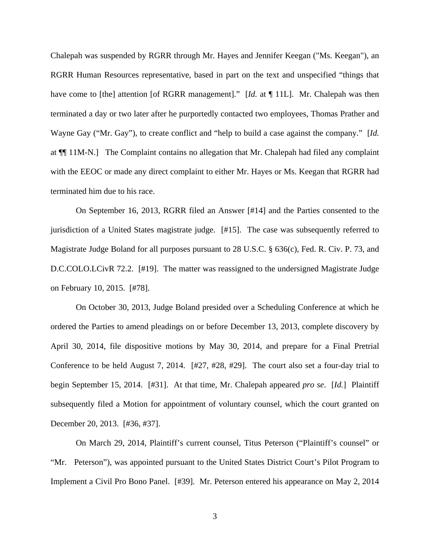Chalepah was suspended by RGRR through Mr. Hayes and Jennifer Keegan ("Ms. Keegan"), an RGRR Human Resources representative, based in part on the text and unspecified "things that have come to [the] attention [of RGRR management]." [*Id.* at ¶ 11L]. Mr. Chalepah was then terminated a day or two later after he purportedly contacted two employees, Thomas Prather and Wayne Gay ("Mr. Gay"), to create conflict and "help to build a case against the company." [*Id.* at ¶¶ 11M-N.] The Complaint contains no allegation that Mr. Chalepah had filed any complaint with the EEOC or made any direct complaint to either Mr. Hayes or Ms. Keegan that RGRR had terminated him due to his race.

On September 16, 2013, RGRR filed an Answer [#14] and the Parties consented to the jurisdiction of a United States magistrate judge. [#15]. The case was subsequently referred to Magistrate Judge Boland for all purposes pursuant to 28 U.S.C. § 636(c), Fed. R. Civ. P. 73, and D.C.COLO.LCivR 72.2. [#19]. The matter was reassigned to the undersigned Magistrate Judge on February 10, 2015. [#78].

On October 30, 2013, Judge Boland presided over a Scheduling Conference at which he ordered the Parties to amend pleadings on or before December 13, 2013, complete discovery by April 30, 2014, file dispositive motions by May 30, 2014, and prepare for a Final Pretrial Conference to be held August 7, 2014. [#27, #28, #29]. The court also set a four-day trial to begin September 15, 2014. [#31]. At that time, Mr. Chalepah appeared *pro se*. [*Id.*]Plaintiff subsequently filed a Motion for appointment of voluntary counsel, which the court granted on December 20, 2013. [#36, #37].

On March 29, 2014, Plaintiff's current counsel, Titus Peterson ("Plaintiff's counsel" or "Mr. Peterson"), was appointed pursuant to the United States District Court's Pilot Program to Implement a Civil Pro Bono Panel. [#39]. Mr. Peterson entered his appearance on May 2, 2014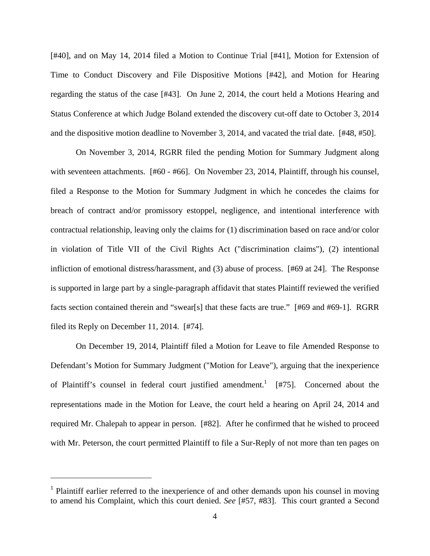[#40], and on May 14, 2014 filed a Motion to Continue Trial [#41], Motion for Extension of Time to Conduct Discovery and File Dispositive Motions [#42], and Motion for Hearing regarding the status of the case [#43]. On June 2, 2014, the court held a Motions Hearing and Status Conference at which Judge Boland extended the discovery cut-off date to October 3, 2014 and the dispositive motion deadline to November 3, 2014, and vacated the trial date. [#48, #50].

On November 3, 2014, RGRR filed the pending Motion for Summary Judgment along with seventeen attachments. [#60 - #66]. On November 23, 2014, Plaintiff, through his counsel, filed a Response to the Motion for Summary Judgment in which he concedes the claims for breach of contract and/or promissory estoppel, negligence, and intentional interference with contractual relationship, leaving only the claims for (1) discrimination based on race and/or color in violation of Title VII of the Civil Rights Act ("discrimination claims"), (2) intentional infliction of emotional distress/harassment, and (3) abuse of process. [#69 at 24]. The Response is supported in large part by a single-paragraph affidavit that states Plaintiff reviewed the verified facts section contained therein and "swear[s] that these facts are true." [#69 and #69-1]. RGRR filed its Reply on December 11, 2014. [#74].

On December 19, 2014, Plaintiff filed a Motion for Leave to file Amended Response to Defendant's Motion for Summary Judgment ("Motion for Leave"), arguing that the inexperience of Plaintiff's counsel in federal court justified amendment.<sup>1</sup> [#75]. Concerned about the representations made in the Motion for Leave, the court held a hearing on April 24, 2014 and required Mr. Chalepah to appear in person. [#82]. After he confirmed that he wished to proceed with Mr. Peterson, the court permitted Plaintiff to file a Sur-Reply of not more than ten pages on

<sup>&</sup>lt;sup>1</sup> Plaintiff earlier referred to the inexperience of and other demands upon his counsel in moving to amend his Complaint, which this court denied. *See* [#57, #83]. This court granted a Second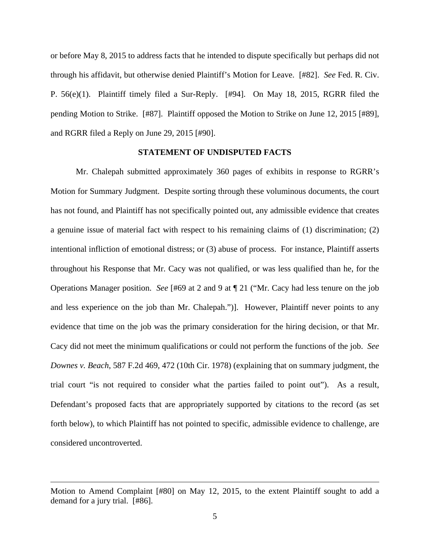or before May 8, 2015 to address facts that he intended to dispute specifically but perhaps did not through his affidavit, but otherwise denied Plaintiff's Motion for Leave. [#82]. *See* Fed. R. Civ. P. 56(e)(1). Plaintiff timely filed a Sur-Reply. [#94]. On May 18, 2015, RGRR filed the pending Motion to Strike. [#87]. Plaintiff opposed the Motion to Strike on June 12, 2015 [#89], and RGRR filed a Reply on June 29, 2015 [#90].

## **STATEMENT OF UNDISPUTED FACTS**

 Mr. Chalepah submitted approximately 360 pages of exhibits in response to RGRR's Motion for Summary Judgment. Despite sorting through these voluminous documents, the court has not found, and Plaintiff has not specifically pointed out, any admissible evidence that creates a genuine issue of material fact with respect to his remaining claims of (1) discrimination; (2) intentional infliction of emotional distress; or (3) abuse of process. For instance, Plaintiff asserts throughout his Response that Mr. Cacy was not qualified, or was less qualified than he, for the Operations Manager position. *See* [#69 at 2 and 9 at ¶ 21 ("Mr. Cacy had less tenure on the job and less experience on the job than Mr. Chalepah.")]. However, Plaintiff never points to any evidence that time on the job was the primary consideration for the hiring decision, or that Mr. Cacy did not meet the minimum qualifications or could not perform the functions of the job. *See Downes v. Beach*, 587 F.2d 469, 472 (10th Cir. 1978) (explaining that on summary judgment, the trial court "is not required to consider what the parties failed to point out"). As a result, Defendant's proposed facts that are appropriately supported by citations to the record (as set forth below), to which Plaintiff has not pointed to specific, admissible evidence to challenge, are considered uncontroverted.

Motion to Amend Complaint [#80] on May 12, 2015, to the extent Plaintiff sought to add a demand for a jury trial. [#86].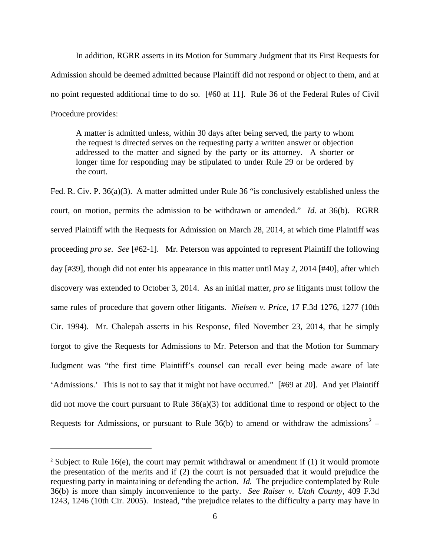In addition, RGRR asserts in its Motion for Summary Judgment that its First Requests for Admission should be deemed admitted because Plaintiff did not respond or object to them, and at no point requested additional time to do so. [#60 at 11]. Rule 36 of the Federal Rules of Civil Procedure provides:

A matter is admitted unless, within 30 days after being served, the party to whom the request is directed serves on the requesting party a written answer or objection addressed to the matter and signed by the party or its attorney. A shorter or longer time for responding may be stipulated to under Rule 29 or be ordered by the court.

Fed. R. Civ. P. 36(a)(3). A matter admitted under Rule 36 "is conclusively established unless the court, on motion, permits the admission to be withdrawn or amended." *Id.* at 36(b). RGRR served Plaintiff with the Requests for Admission on March 28, 2014, at which time Plaintiff was proceeding *pro se*. *See* [#62-1]. Mr. Peterson was appointed to represent Plaintiff the following day [#39], though did not enter his appearance in this matter until May 2, 2014 [#40], after which discovery was extended to October 3, 2014. As an initial matter, *pro se* litigants must follow the same rules of procedure that govern other litigants. *Nielsen v. Price,* 17 F.3d 1276, 1277 (10th Cir. 1994). Mr. Chalepah asserts in his Response, filed November 23, 2014, that he simply forgot to give the Requests for Admissions to Mr. Peterson and that the Motion for Summary Judgment was "the first time Plaintiff's counsel can recall ever being made aware of late 'Admissions.' This is not to say that it might not have occurred." [#69 at 20]. And yet Plaintiff did not move the court pursuant to Rule 36(a)(3) for additional time to respond or object to the Requests for Admissions, or pursuant to Rule 36(b) to amend or withdraw the admissions<sup>2</sup> –

<sup>&</sup>lt;sup>2</sup> Subject to Rule 16(e), the court may permit withdrawal or amendment if (1) it would promote the presentation of the merits and if (2) the court is not persuaded that it would prejudice the requesting party in maintaining or defending the action. *Id.* The prejudice contemplated by Rule 36(b) is more than simply inconvenience to the party. *See Raiser v. Utah County*, 409 F.3d 1243, 1246 (10th Cir. 2005). Instead, "the prejudice relates to the difficulty a party may have in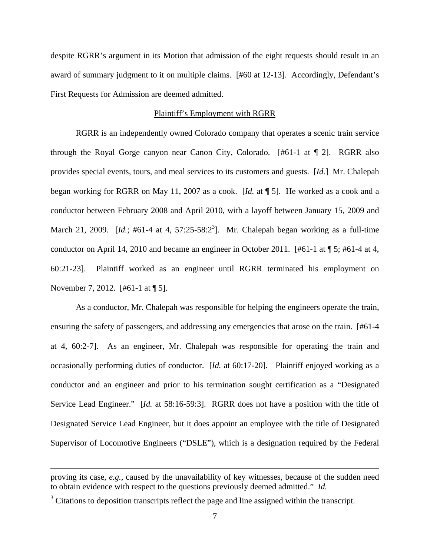despite RGRR's argument in its Motion that admission of the eight requests should result in an award of summary judgment to it on multiple claims. [#60 at 12-13]. Accordingly, Defendant's First Requests for Admission are deemed admitted.

## Plaintiff's Employment with RGRR

RGRR is an independently owned Colorado company that operates a scenic train service through the Royal Gorge canyon near Canon City, Colorado. [#61-1 at ¶ 2]. RGRR also provides special events, tours, and meal services to its customers and guests. [*Id.*] Mr. Chalepah began working for RGRR on May 11, 2007 as a cook. [*Id.* at ¶ 5]. He worked as a cook and a conductor between February 2008 and April 2010, with a layoff between January 15, 2009 and March 21, 2009.  $[Id.; #61-4 \text{ at } 4, 57:25-58:2^3]$ . Mr. Chalepah began working as a full-time conductor on April 14, 2010 and became an engineer in October 2011. [#61-1 at ¶ 5; #61-4 at 4, 60:21-23]. Plaintiff worked as an engineer until RGRR terminated his employment on November 7, 2012. [#61-1 at ¶ 5].

 As a conductor, Mr. Chalepah was responsible for helping the engineers operate the train, ensuring the safety of passengers, and addressing any emergencies that arose on the train. [#61-4 at 4, 60:2-7]. As an engineer, Mr. Chalepah was responsible for operating the train and occasionally performing duties of conductor. [*Id.* at 60:17-20]. Plaintiff enjoyed working as a conductor and an engineer and prior to his termination sought certification as a "Designated Service Lead Engineer." [*Id.* at 58:16-59:3]. RGRR does not have a position with the title of Designated Service Lead Engineer, but it does appoint an employee with the title of Designated Supervisor of Locomotive Engineers ("DSLE"), which is a designation required by the Federal

proving its case, *e.g.*, caused by the unavailability of key witnesses, because of the sudden need to obtain evidence with respect to the questions previously deemed admitted." *Id.*

 $3$  Citations to deposition transcripts reflect the page and line assigned within the transcript.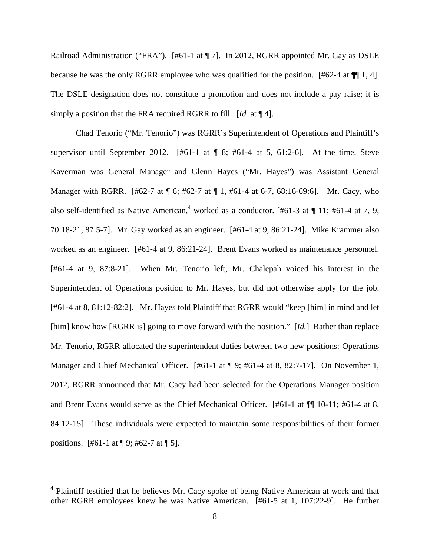Railroad Administration ("FRA"). [#61-1 at ¶ 7]. In 2012, RGRR appointed Mr. Gay as DSLE because he was the only RGRR employee who was qualified for the position. [#62-4 at ¶¶ 1, 4]. The DSLE designation does not constitute a promotion and does not include a pay raise; it is simply a position that the FRA required RGRR to fill. [*Id.* at ¶ 4].

 Chad Tenorio ("Mr. Tenorio") was RGRR's Superintendent of Operations and Plaintiff's supervisor until September 2012. [#61-1 at  $\parallel$  8; #61-4 at 5, 61:2-6]. At the time, Steve Kaverman was General Manager and Glenn Hayes ("Mr. Hayes") was Assistant General Manager with RGRR. [#62-7 at ¶ 6; #62-7 at ¶ 1, #61-4 at 6-7, 68:16-69:6]. Mr. Cacy, who also self-identified as Native American,<sup>4</sup> worked as a conductor. [#61-3 at  $\P$  11; #61-4 at 7, 9, 70:18-21, 87:5-7]. Mr. Gay worked as an engineer. [#61-4 at 9, 86:21-24]. Mike Krammer also worked as an engineer. [#61-4 at 9, 86:21-24]. Brent Evans worked as maintenance personnel. [#61-4 at 9, 87:8-21]. When Mr. Tenorio left, Mr. Chalepah voiced his interest in the Superintendent of Operations position to Mr. Hayes, but did not otherwise apply for the job. [#61-4 at 8, 81:12-82:2]. Mr. Hayes told Plaintiff that RGRR would "keep [him] in mind and let [him] know how [RGRR is] going to move forward with the position." [*Id.*] Rather than replace Mr. Tenorio, RGRR allocated the superintendent duties between two new positions: Operations Manager and Chief Mechanical Officer. [#61-1 at ¶ 9; #61-4 at 8, 82:7-17]. On November 1, 2012, RGRR announced that Mr. Cacy had been selected for the Operations Manager position and Brent Evans would serve as the Chief Mechanical Officer. [#61-1 at ¶¶ 10-11; #61-4 at 8, 84:12-15]. These individuals were expected to maintain some responsibilities of their former positions. [#61-1 at ¶ 9; #62-7 at ¶ 5].

<sup>&</sup>lt;sup>4</sup> Plaintiff testified that he believes Mr. Cacy spoke of being Native American at work and that other RGRR employees knew he was Native American. [#61-5 at 1, 107:22-9]. He further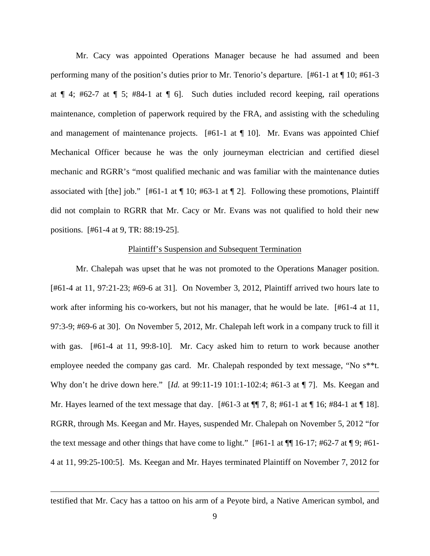Mr. Cacy was appointed Operations Manager because he had assumed and been performing many of the position's duties prior to Mr. Tenorio's departure. [#61-1 at ¶ 10; #61-3 at ¶ 4; #62-7 at ¶ 5; #84-1 at ¶ 6]. Such duties included record keeping, rail operations maintenance, completion of paperwork required by the FRA, and assisting with the scheduling and management of maintenance projects. [#61-1 at ¶ 10]. Mr. Evans was appointed Chief Mechanical Officer because he was the only journeyman electrician and certified diesel mechanic and RGRR's "most qualified mechanic and was familiar with the maintenance duties associated with [the] job."  $[#61-1$  at  $[$  10;  $#63-1$  at  $[$  2]. Following these promotions, Plaintiff did not complain to RGRR that Mr. Cacy or Mr. Evans was not qualified to hold their new positions. [#61-4 at 9, TR: 88:19-25].

#### Plaintiff's Suspension and Subsequent Termination

 Mr. Chalepah was upset that he was not promoted to the Operations Manager position. [#61-4 at 11, 97:21-23; #69-6 at 31]. On November 3, 2012, Plaintiff arrived two hours late to work after informing his co-workers, but not his manager, that he would be late. [#61-4 at 11, 97:3-9; #69-6 at 30]. On November 5, 2012, Mr. Chalepah left work in a company truck to fill it with gas. [#61-4 at 11, 99:8-10]. Mr. Cacy asked him to return to work because another employee needed the company gas card. Mr. Chalepah responded by text message, "No s\*\*t. Why don't he drive down here." [*Id.* at 99:11-19 101:1-102:4; #61-3 at ¶ 7]. Ms. Keegan and Mr. Hayes learned of the text message that day.  $[#61-3 \text{ at } ]$  7, 8;  $#61-1 \text{ at } ]16$ ;  $#84-1 \text{ at } ]18]$ . RGRR, through Ms. Keegan and Mr. Hayes, suspended Mr. Chalepah on November 5, 2012 "for the text message and other things that have come to light."  $[#61-1$  at  $\P\P$  16-17;  $#62-7$  at  $\P$  9;  $#61-$ 4 at 11, 99:25-100:5]. Ms. Keegan and Mr. Hayes terminated Plaintiff on November 7, 2012 for

testified that Mr. Cacy has a tattoo on his arm of a Peyote bird, a Native American symbol, and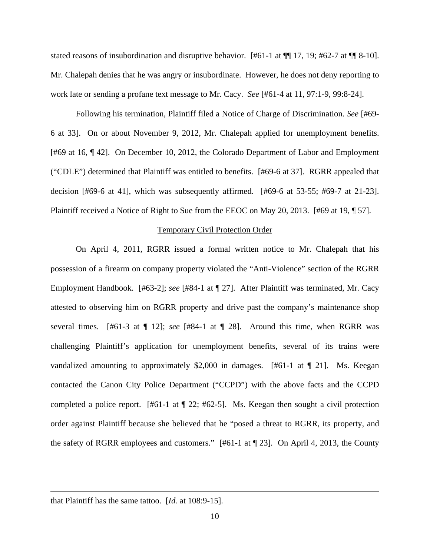stated reasons of insubordination and disruptive behavior.  $[#61-1$  at  $\P\P$  17, 19;  $#62-7$  at  $\P\P$  8-10]. Mr. Chalepah denies that he was angry or insubordinate. However, he does not deny reporting to work late or sending a profane text message to Mr. Cacy. *See* [#61-4 at 11, 97:1-9, 99:8-24].

 Following his termination, Plaintiff filed a Notice of Charge of Discrimination. *See* [#69- 6 at 33]. On or about November 9, 2012, Mr. Chalepah applied for unemployment benefits. [#69 at 16, ¶ 42]. On December 10, 2012, the Colorado Department of Labor and Employment ("CDLE") determined that Plaintiff was entitled to benefits. [#69-6 at 37]. RGRR appealed that decision [#69-6 at 41], which was subsequently affirmed. [#69-6 at 53-55; #69-7 at 21-23]. Plaintiff received a Notice of Right to Sue from the EEOC on May 20, 2013. [#69 at 19, ¶ 57].

#### Temporary Civil Protection Order

 On April 4, 2011, RGRR issued a formal written notice to Mr. Chalepah that his possession of a firearm on company property violated the "Anti-Violence" section of the RGRR Employment Handbook. [#63-2]; *see* [#84-1 at ¶ 27]. After Plaintiff was terminated, Mr. Cacy attested to observing him on RGRR property and drive past the company's maintenance shop several times. [#61-3 at ¶ 12]; *see* [#84-1 at ¶ 28]. Around this time, when RGRR was challenging Plaintiff's application for unemployment benefits, several of its trains were vandalized amounting to approximately \$2,000 in damages. [#61-1 at ¶ 21]. Ms. Keegan contacted the Canon City Police Department ("CCPD") with the above facts and the CCPD completed a police report. [#61-1 at ¶ 22; #62-5]. Ms. Keegan then sought a civil protection order against Plaintiff because she believed that he "posed a threat to RGRR, its property, and the safety of RGRR employees and customers." [#61-1 at ¶ 23]. On April 4, 2013, the County

that Plaintiff has the same tattoo. [*Id.* at 108:9-15].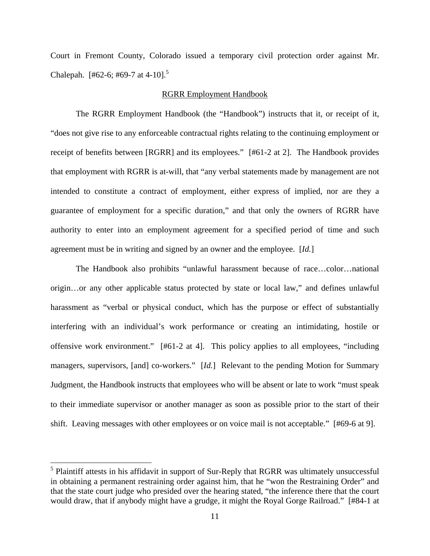Court in Fremont County, Colorado issued a temporary civil protection order against Mr. Chalepah. [#62-6; #69-7 at 4-10].<sup>5</sup>

## RGRR Employment Handbook

 The RGRR Employment Handbook (the "Handbook") instructs that it, or receipt of it, "does not give rise to any enforceable contractual rights relating to the continuing employment or receipt of benefits between [RGRR] and its employees." [#61-2 at 2]. The Handbook provides that employment with RGRR is at-will, that "any verbal statements made by management are not intended to constitute a contract of employment, either express of implied, nor are they a guarantee of employment for a specific duration," and that only the owners of RGRR have authority to enter into an employment agreement for a specified period of time and such agreement must be in writing and signed by an owner and the employee. [*Id.*]

 The Handbook also prohibits "unlawful harassment because of race…color…national origin…or any other applicable status protected by state or local law," and defines unlawful harassment as "verbal or physical conduct, which has the purpose or effect of substantially interfering with an individual's work performance or creating an intimidating, hostile or offensive work environment." [#61-2 at 4]. This policy applies to all employees, "including managers, supervisors, [and] co-workers." [*Id.*] Relevant to the pending Motion for Summary Judgment, the Handbook instructs that employees who will be absent or late to work "must speak to their immediate supervisor or another manager as soon as possible prior to the start of their shift. Leaving messages with other employees or on voice mail is not acceptable." [#69-6 at 9].

<sup>&</sup>lt;sup>5</sup> Plaintiff attests in his affidavit in support of Sur-Reply that RGRR was ultimately unsuccessful in obtaining a permanent restraining order against him, that he "won the Restraining Order" and that the state court judge who presided over the hearing stated, "the inference there that the court would draw, that if anybody might have a grudge, it might the Royal Gorge Railroad." [#84-1 at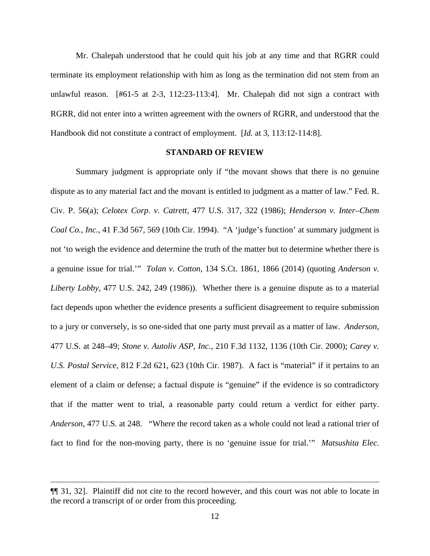Mr. Chalepah understood that he could quit his job at any time and that RGRR could terminate its employment relationship with him as long as the termination did not stem from an unlawful reason. [#61-5 at 2-3, 112:23-113:4]. Mr. Chalepah did not sign a contract with RGRR, did not enter into a written agreement with the owners of RGRR, and understood that the Handbook did not constitute a contract of employment. [*Id.* at 3, 113:12-114:8].

## **STANDARD OF REVIEW**

 Summary judgment is appropriate only if "the movant shows that there is no genuine dispute as to any material fact and the movant is entitled to judgment as a matter of law." Fed. R. Civ. P. 56(a); *Celotex Corp. v. Catrett,* 477 U.S. 317, 322 (1986); *Henderson v. Inter–Chem Coal Co., Inc.,* 41 F.3d 567, 569 (10th Cir. 1994). "A 'judge's function' at summary judgment is not 'to weigh the evidence and determine the truth of the matter but to determine whether there is a genuine issue for trial.'" *Tolan v. Cotton*, 134 S.Ct. 1861, 1866 (2014) (quoting *Anderson v. Liberty Lobby,* 477 U.S. 242, 249 (1986)). Whether there is a genuine dispute as to a material fact depends upon whether the evidence presents a sufficient disagreement to require submission to a jury or conversely, is so one-sided that one party must prevail as a matter of law. *Anderson,* 477 U.S. at 248–49; *Stone v. Autoliv ASP, Inc.,* 210 F.3d 1132, 1136 (10th Cir. 2000); *Carey v. U.S. Postal Service,* 812 F.2d 621, 623 (10th Cir. 1987). A fact is "material" if it pertains to an element of a claim or defense; a factual dispute is "genuine" if the evidence is so contradictory that if the matter went to trial, a reasonable party could return a verdict for either party. *Anderson,* 477 U.S. at 248. "Where the record taken as a whole could not lead a rational trier of fact to find for the non-moving party, there is no 'genuine issue for trial.'" *Matsushita Elec.* 

<sup>¶¶ 31, 32].</sup> Plaintiff did not cite to the record however, and this court was not able to locate in the record a transcript of or order from this proceeding.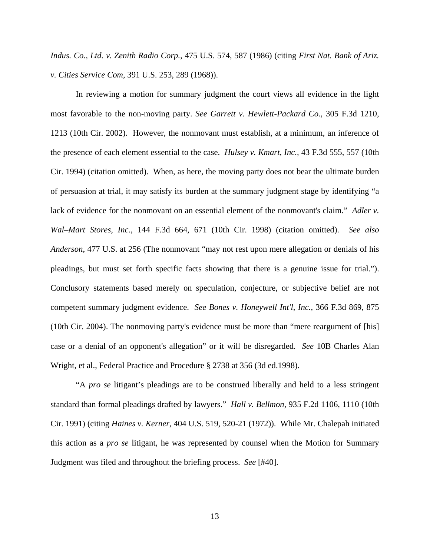*Indus. Co., Ltd. v. Zenith Radio Corp.*, 475 U.S. 574, 587 (1986) (citing *First Nat. Bank of Ariz. v. Cities Service Com*, 391 U.S. 253, 289 (1968)).

 In reviewing a motion for summary judgment the court views all evidence in the light most favorable to the non-moving party. *See Garrett v. Hewlett-Packard Co.,* 305 F.3d 1210, 1213 (10th Cir. 2002). However, the nonmovant must establish, at a minimum, an inference of the presence of each element essential to the case. *Hulsey v. Kmart, Inc.,* 43 F.3d 555, 557 (10th Cir. 1994) (citation omitted). When, as here, the moving party does not bear the ultimate burden of persuasion at trial, it may satisfy its burden at the summary judgment stage by identifying "a lack of evidence for the nonmovant on an essential element of the nonmovant's claim." *Adler v. Wal–Mart Stores, Inc.,* 144 F.3d 664, 671 (10th Cir. 1998) (citation omitted). *See also Anderson*, 477 U.S. at 256 (The nonmovant "may not rest upon mere allegation or denials of his pleadings, but must set forth specific facts showing that there is a genuine issue for trial."). Conclusory statements based merely on speculation, conjecture, or subjective belief are not competent summary judgment evidence. *See Bones v. Honeywell Int'l, Inc.,* 366 F.3d 869, 875 (10th Cir. 2004). The nonmoving party's evidence must be more than "mere reargument of [his] case or a denial of an opponent's allegation" or it will be disregarded. *See* 10B Charles Alan Wright, et al., Federal Practice and Procedure § 2738 at 356 (3d ed.1998).

 "A *pro se* litigant's pleadings are to be construed liberally and held to a less stringent standard than formal pleadings drafted by lawyers." *Hall v. Bellmon*, 935 F.2d 1106, 1110 (10th Cir. 1991) (citing *Haines v. Kerner*, 404 U.S. 519, 520-21 (1972)). While Mr. Chalepah initiated this action as a *pro se* litigant, he was represented by counsel when the Motion for Summary Judgment was filed and throughout the briefing process. *See* [#40].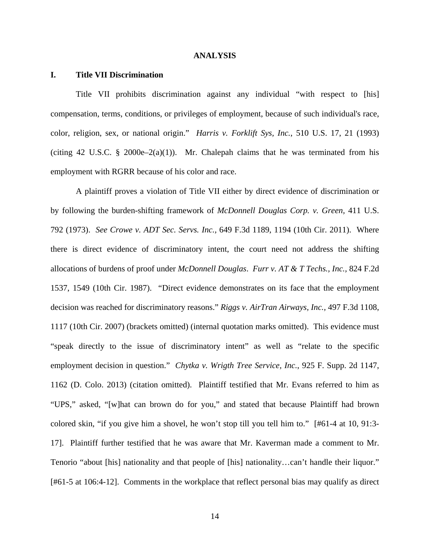#### **ANALYSIS**

#### **I. Title VII Discrimination**

 Title VII prohibits discrimination against any individual "with respect to [his] compensation, terms, conditions, or privileges of employment, because of such individual's race, color, religion, sex, or national origin." *Harris v. Forklift Sys, Inc.*, 510 U.S. 17, 21 (1993) (citing 42 U.S.C. § 2000e–2(a)(1)). Mr. Chalepah claims that he was terminated from his employment with RGRR because of his color and race.

 A plaintiff proves a violation of Title VII either by direct evidence of discrimination or by following the burden-shifting framework of *McDonnell Douglas Corp. v. Green,* 411 U.S. 792 (1973). *See Crowe v. ADT Sec. Servs. Inc.,* 649 F.3d 1189, 1194 (10th Cir. 2011). Where there is direct evidence of discriminatory intent, the court need not address the shifting allocations of burdens of proof under *McDonnell Douglas*. *Furr v. AT & T Techs., Inc.,* 824 F.2d 1537, 1549 (10th Cir. 1987). "Direct evidence demonstrates on its face that the employment decision was reached for discriminatory reasons." *Riggs v. AirTran Airways, Inc.,* 497 F.3d 1108, 1117 (10th Cir. 2007) (brackets omitted) (internal quotation marks omitted). This evidence must "speak directly to the issue of discriminatory intent" as well as "relate to the specific employment decision in question." *Chytka v. Wrigth Tree Service, Inc.*, 925 F. Supp. 2d 1147, 1162 (D. Colo. 2013) (citation omitted). Plaintiff testified that Mr. Evans referred to him as "UPS," asked, "[w]hat can brown do for you," and stated that because Plaintiff had brown colored skin, "if you give him a shovel, he won't stop till you tell him to." [#61-4 at 10, 91:3- 17]. Plaintiff further testified that he was aware that Mr. Kaverman made a comment to Mr. Tenorio "about [his] nationality and that people of [his] nationality…can't handle their liquor." [#61-5 at 106:4-12]. Comments in the workplace that reflect personal bias may qualify as direct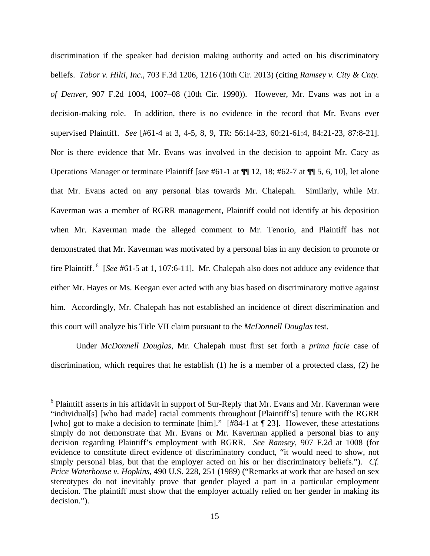discrimination if the speaker had decision making authority and acted on his discriminatory beliefs. *Tabor v. Hilti, Inc.*, 703 F.3d 1206, 1216 (10th Cir. 2013) (citing *Ramsey v. City & Cnty. of Denver,* 907 F.2d 1004, 1007–08 (10th Cir. 1990)). However, Mr. Evans was not in a decision-making role. In addition, there is no evidence in the record that Mr. Evans ever supervised Plaintiff. *See* [#61-4 at 3, 4-5, 8, 9, TR: 56:14-23, 60:21-61:4, 84:21-23, 87:8-21]. Nor is there evidence that Mr. Evans was involved in the decision to appoint Mr. Cacy as Operations Manager or terminate Plaintiff [*see* #61-1 at ¶¶ 12, 18; #62-7 at ¶¶ 5, 6, 10], let alone that Mr. Evans acted on any personal bias towards Mr. Chalepah. Similarly, while Mr. Kaverman was a member of RGRR management, Plaintiff could not identify at his deposition when Mr. Kaverman made the alleged comment to Mr. Tenorio, and Plaintiff has not demonstrated that Mr. Kaverman was motivated by a personal bias in any decision to promote or fire Plaintiff.<sup>6</sup> [*See* #61-5 at 1, 107:6-11]. Mr. Chalepah also does not adduce any evidence that either Mr. Hayes or Ms. Keegan ever acted with any bias based on discriminatory motive against him. Accordingly, Mr. Chalepah has not established an incidence of direct discrimination and this court will analyze his Title VII claim pursuant to the *McDonnell Douglas* test.

 Under *McDonnell Douglas*, Mr. Chalepah must first set forth a *prima facie* case of discrimination, which requires that he establish (1) he is a member of a protected class, (2) he

<sup>&</sup>lt;sup>6</sup> Plaintiff asserts in his affidavit in support of Sur-Reply that Mr. Evans and Mr. Kaverman were "individual[s] [who had made] racial comments throughout [Plaintiff's] tenure with the RGRR [who] got to make a decision to terminate [him]." [#84-1 at ¶ 23]. However, these attestations simply do not demonstrate that Mr. Evans or Mr. Kaverman applied a personal bias to any decision regarding Plaintiff's employment with RGRR. *See Ramsey*, 907 F.2d at 1008 (for evidence to constitute direct evidence of discriminatory conduct, "it would need to show, not simply personal bias, but that the employer acted on his or her discriminatory beliefs."). *Cf. Price Waterhouse v. Hopkins*, 490 U.S. 228, 251 (1989) ("Remarks at work that are based on sex stereotypes do not inevitably prove that gender played a part in a particular employment decision. The plaintiff must show that the employer actually relied on her gender in making its decision.").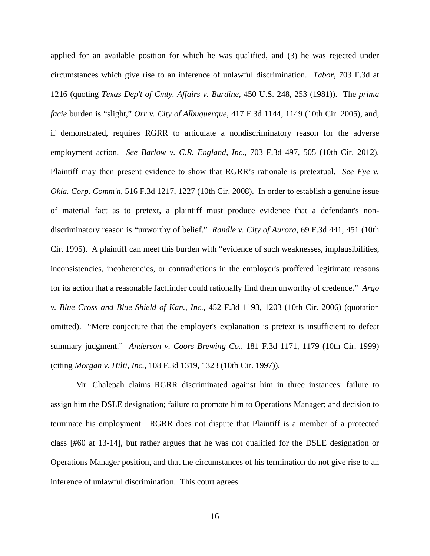applied for an available position for which he was qualified, and (3) he was rejected under circumstances which give rise to an inference of unlawful discrimination. *Tabor*, 703 F.3d at 1216 (quoting *Texas Dep't of Cmty. Affairs v. Burdine,* 450 U.S. 248, 253 (1981)). The *prima facie* burden is "slight," *Orr v. City of Albuquerque,* 417 F.3d 1144, 1149 (10th Cir. 2005), and, if demonstrated, requires RGRR to articulate a nondiscriminatory reason for the adverse employment action. *See Barlow v. C.R. England, Inc.*, 703 F.3d 497, 505 (10th Cir. 2012). Plaintiff may then present evidence to show that RGRR's rationale is pretextual. *See Fye v. Okla. Corp. Comm'n,* 516 F.3d 1217, 1227 (10th Cir. 2008). In order to establish a genuine issue of material fact as to pretext, a plaintiff must produce evidence that a defendant's nondiscriminatory reason is "unworthy of belief." *Randle v. City of Aurora*, 69 F.3d 441, 451 (10th Cir. 1995).A plaintiff can meet this burden with "evidence of such weaknesses, implausibilities, inconsistencies, incoherencies, or contradictions in the employer's proffered legitimate reasons for its action that a reasonable factfinder could rationally find them unworthy of credence." *Argo v. Blue Cross and Blue Shield of Kan., Inc.*, 452 F.3d 1193, 1203 (10th Cir. 2006) (quotation omitted)."Mere conjecture that the employer's explanation is pretext is insufficient to defeat summary judgment." *Anderson v. Coors Brewing Co.*, 181 F.3d 1171, 1179 (10th Cir. 1999) (citing *Morgan v. Hilti, Inc.,* 108 F.3d 1319, 1323 (10th Cir. 1997)).

 Mr. Chalepah claims RGRR discriminated against him in three instances: failure to assign him the DSLE designation; failure to promote him to Operations Manager; and decision to terminate his employment. RGRR does not dispute that Plaintiff is a member of a protected class [#60 at 13-14], but rather argues that he was not qualified for the DSLE designation or Operations Manager position, and that the circumstances of his termination do not give rise to an inference of unlawful discrimination. This court agrees.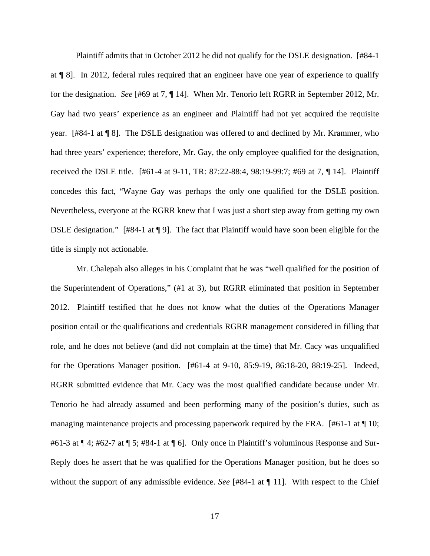Plaintiff admits that in October 2012 he did not qualify for the DSLE designation. [#84-1 at ¶ 8]. In 2012, federal rules required that an engineer have one year of experience to qualify for the designation. *See* [#69 at 7, ¶ 14]. When Mr. Tenorio left RGRR in September 2012, Mr. Gay had two years' experience as an engineer and Plaintiff had not yet acquired the requisite year. [#84-1 at ¶ 8]. The DSLE designation was offered to and declined by Mr. Krammer, who had three years' experience; therefore, Mr. Gay, the only employee qualified for the designation, received the DSLE title. [#61-4 at 9-11, TR: 87:22-88:4, 98:19-99:7; #69 at 7, ¶ 14]. Plaintiff concedes this fact, "Wayne Gay was perhaps the only one qualified for the DSLE position. Nevertheless, everyone at the RGRR knew that I was just a short step away from getting my own DSLE designation." [#84-1 at ¶ 9]. The fact that Plaintiff would have soon been eligible for the title is simply not actionable.

 Mr. Chalepah also alleges in his Complaint that he was "well qualified for the position of the Superintendent of Operations," (#1 at 3), but RGRR eliminated that position in September 2012. Plaintiff testified that he does not know what the duties of the Operations Manager position entail or the qualifications and credentials RGRR management considered in filling that role, and he does not believe (and did not complain at the time) that Mr. Cacy was unqualified for the Operations Manager position. [#61-4 at 9-10, 85:9-19, 86:18-20, 88:19-25]. Indeed, RGRR submitted evidence that Mr. Cacy was the most qualified candidate because under Mr. Tenorio he had already assumed and been performing many of the position's duties, such as managing maintenance projects and processing paperwork required by the FRA. [#61-1 at  $\P$  10; #61-3 at  $\P$  4; #62-7 at  $\P$  5; #84-1 at  $\P$  6]. Only once in Plaintiff's voluminous Response and Sur-Reply does he assert that he was qualified for the Operations Manager position, but he does so without the support of any admissible evidence. *See* [#84-1 at ¶ 11]. With respect to the Chief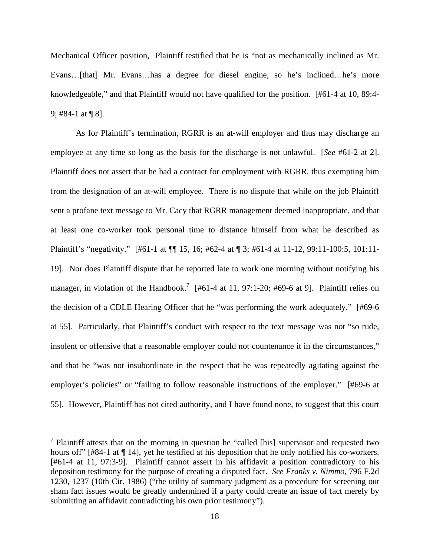Mechanical Officer position, Plaintiff testified that he is "not as mechanically inclined as Mr. Evans…[that] Mr. Evans…has a degree for diesel engine, so he's inclined…he's more knowledgeable," and that Plaintiff would not have qualified for the position. [#61-4 at 10, 89:4- 9; #84-1 at ¶ 8].

 As for Plaintiff's termination, RGRR is an at-will employer and thus may discharge an employee at any time so long as the basis for the discharge is not unlawful. [*See* #61-2 at 2]. Plaintiff does not assert that he had a contract for employment with RGRR, thus exempting him from the designation of an at-will employee. There is no dispute that while on the job Plaintiff sent a profane text message to Mr. Cacy that RGRR management deemed inappropriate, and that at least one co-worker took personal time to distance himself from what he described as Plaintiff's "negativity." [#61-1 at ¶¶ 15, 16; #62-4 at ¶ 3; #61-4 at 11-12, 99:11-100:5, 101:11- 19]. Nor does Plaintiff dispute that he reported late to work one morning without notifying his manager, in violation of the Handbook.<sup>7</sup> [#61-4 at 11, 97:1-20; #69-6 at 9]. Plaintiff relies on the decision of a CDLE Hearing Officer that he "was performing the work adequately." [#69-6 at 55]. Particularly, that Plaintiff's conduct with respect to the text message was not "so rude, insolent or offensive that a reasonable employer could not countenance it in the circumstances," and that he "was not insubordinate in the respect that he was repeatedly agitating against the employer's policies" or "failing to follow reasonable instructions of the employer." [#69-6 at 55]. However, Plaintiff has not cited authority, and I have found none, to suggest that this court

<sup>&</sup>lt;sup>7</sup> Plaintiff attests that on the morning in question he "called [his] supervisor and requested two hours off" [#84-1 at ¶ 14], yet he testified at his deposition that he only notified his co-workers. [#61-4 at 11, 97:3-9]. Plaintiff cannot assert in his affidavit a position contradictory to his deposition testimony for the purpose of creating a disputed fact. *See Franks v. Nimmo*, 796 F.2d 1230, 1237 (10th Cir. 1986) ("the utility of summary judgment as a procedure for screening out sham fact issues would be greatly undermined if a party could create an issue of fact merely by submitting an affidavit contradicting his own prior testimony").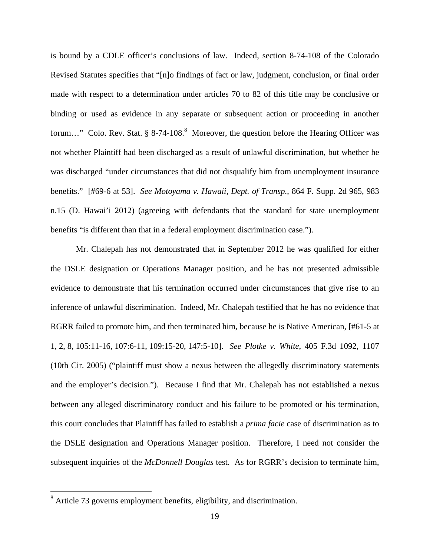is bound by a CDLE officer's conclusions of law. Indeed, section 8-74-108 of the Colorado Revised Statutes specifies that "[n]o findings of fact or law, judgment, conclusion, or final order made with respect to a determination under articles 70 to 82 of this title may be conclusive or binding or used as evidence in any separate or subsequent action or proceeding in another forum..." Colo. Rev. Stat. § 8-74-108.<sup>8</sup> Moreover, the question before the Hearing Officer was not whether Plaintiff had been discharged as a result of unlawful discrimination, but whether he was discharged "under circumstances that did not disqualify him from unemployment insurance benefits." [#69-6 at 53]. *See Motoyama v. Hawaii, Dept. of Transp.*, 864 F. Supp. 2d 965, 983 n.15 (D. Hawai'i 2012) (agreeing with defendants that the standard for state unemployment benefits "is different than that in a federal employment discrimination case.").

 Mr. Chalepah has not demonstrated that in September 2012 he was qualified for either the DSLE designation or Operations Manager position, and he has not presented admissible evidence to demonstrate that his termination occurred under circumstances that give rise to an inference of unlawful discrimination. Indeed, Mr. Chalepah testified that he has no evidence that RGRR failed to promote him, and then terminated him, because he is Native American, [#61-5 at 1, 2, 8, 105:11-16, 107:6-11, 109:15-20, 147:5-10]. *See Plotke v. White*, 405 F.3d 1092, 1107 (10th Cir. 2005) ("plaintiff must show a nexus between the allegedly discriminatory statements and the employer's decision."). Because I find that Mr. Chalepah has not established a nexus between any alleged discriminatory conduct and his failure to be promoted or his termination, this court concludes that Plaintiff has failed to establish a *prima facie* case of discrimination as to the DSLE designation and Operations Manager position. Therefore, I need not consider the subsequent inquiries of the *McDonnell Douglas* test. As for RGRR's decision to terminate him,

<sup>&</sup>lt;sup>8</sup> Article 73 governs employment benefits, eligibility, and discrimination.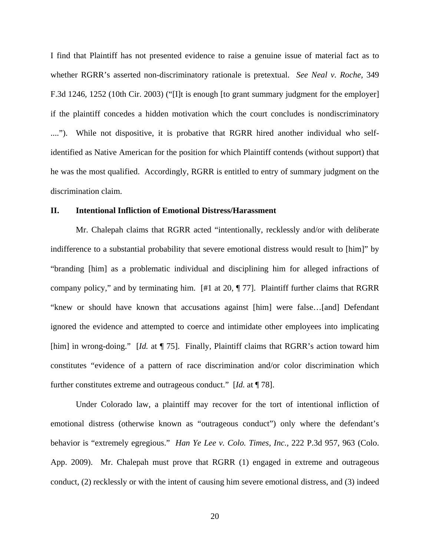I find that Plaintiff has not presented evidence to raise a genuine issue of material fact as to whether RGRR's asserted non-discriminatory rationale is pretextual. *See Neal v. Roche,* 349 F.3d 1246, 1252 (10th Cir. 2003) ("[I]t is enough [to grant summary judgment for the employer] if the plaintiff concedes a hidden motivation which the court concludes is nondiscriminatory ...."). While not dispositive, it is probative that RGRR hired another individual who selfidentified as Native American for the position for which Plaintiff contends (without support) that he was the most qualified. Accordingly, RGRR is entitled to entry of summary judgment on the discrimination claim.

#### **II. Intentional Infliction of Emotional Distress/Harassment**

 Mr. Chalepah claims that RGRR acted "intentionally, recklessly and/or with deliberate indifference to a substantial probability that severe emotional distress would result to [him]" by "branding [him] as a problematic individual and disciplining him for alleged infractions of company policy," and by terminating him. [#1 at 20, ¶ 77]. Plaintiff further claims that RGRR "knew or should have known that accusations against [him] were false…[and] Defendant ignored the evidence and attempted to coerce and intimidate other employees into implicating [him] in wrong-doing." [*Id.* at ¶ 75]. Finally, Plaintiff claims that RGRR's action toward him constitutes "evidence of a pattern of race discrimination and/or color discrimination which further constitutes extreme and outrageous conduct." [*Id.* at ¶ 78].

 Under Colorado law, a plaintiff may recover for the tort of intentional infliction of emotional distress (otherwise known as "outrageous conduct") only where the defendant's behavior is "extremely egregious." *Han Ye Lee v. Colo. Times, Inc.,* 222 P.3d 957, 963 (Colo. App. 2009). Mr. Chalepah must prove that RGRR (1) engaged in extreme and outrageous conduct, (2) recklessly or with the intent of causing him severe emotional distress, and (3) indeed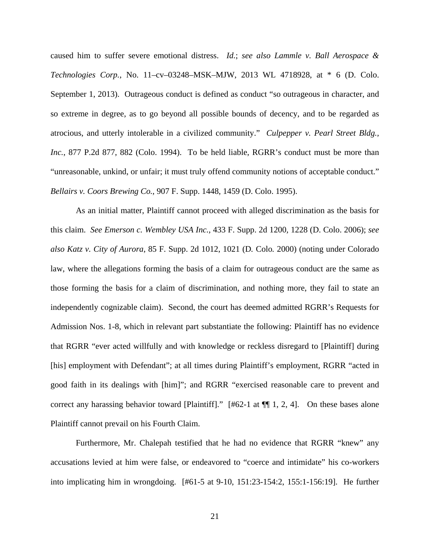caused him to suffer severe emotional distress. *Id.*; *see also Lammle v. Ball Aerospace & Technologies Corp.*, No. 11–cv–03248–MSK–MJW, 2013 WL 4718928, at \* 6 (D. Colo. September 1, 2013). Outrageous conduct is defined as conduct "so outrageous in character, and so extreme in degree, as to go beyond all possible bounds of decency, and to be regarded as atrocious, and utterly intolerable in a civilized community." *Culpepper v. Pearl Street Bldg., Inc.*, 877 P.2d 877, 882 (Colo. 1994). To be held liable, RGRR's conduct must be more than "unreasonable, unkind, or unfair; it must truly offend community notions of acceptable conduct." *Bellairs v. Coors Brewing Co.*, 907 F. Supp. 1448, 1459 (D. Colo. 1995).

As an initial matter, Plaintiff cannot proceed with alleged discrimination as the basis for this claim. *See Emerson c. Wembley USA Inc.,* 433 F. Supp. 2d 1200*,* 1228 (D. Colo. 2006); *see also Katz v. City of Aurora*, 85 F. Supp. 2d 1012, 1021 (D*.* Colo*.* 2000) (noting under Colorado law, where the allegations forming the basis of a claim for outrageous conduct are the same as those forming the basis for a claim of discrimination, and nothing more, they fail to state an independently cognizable claim). Second, the court has deemed admitted RGRR's Requests for Admission Nos. 1-8, which in relevant part substantiate the following: Plaintiff has no evidence that RGRR "ever acted willfully and with knowledge or reckless disregard to [Plaintiff] during [his] employment with Defendant"; at all times during Plaintiff's employment, RGRR "acted in good faith in its dealings with [him]"; and RGRR "exercised reasonable care to prevent and correct any harassing behavior toward [Plaintiff]." [#62-1 at ¶¶ 1, 2, 4]. On these bases alone Plaintiff cannot prevail on his Fourth Claim.

 Furthermore, Mr. Chalepah testified that he had no evidence that RGRR "knew" any accusations levied at him were false, or endeavored to "coerce and intimidate" his co-workers into implicating him in wrongdoing. [#61-5 at 9-10, 151:23-154:2, 155:1-156:19]. He further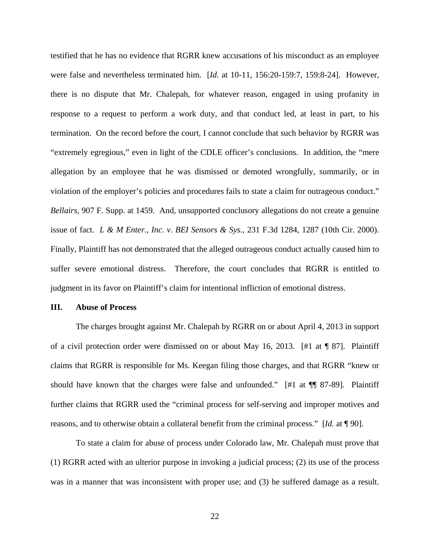testified that he has no evidence that RGRR knew accusations of his misconduct as an employee were false and nevertheless terminated him. [*Id.* at 10-11, 156:20-159:7, 159:8-24]. However, there is no dispute that Mr. Chalepah, for whatever reason, engaged in using profanity in response to a request to perform a work duty, and that conduct led, at least in part, to his termination. On the record before the court, I cannot conclude that such behavior by RGRR was "extremely egregious," even in light of the CDLE officer's conclusions. In addition, the "mere allegation by an employee that he was dismissed or demoted wrongfully, summarily, or in violation of the employer's policies and procedures fails to state a claim for outrageous conduct." *Bellairs*, 907 F. Supp. at 1459. And, unsupported conclusory allegations do not create a genuine issue of fact. *L & M Enter., Inc. v. BEI Sensors & Sys.,* 231 F.3d 1284, 1287 (10th Cir. 2000). Finally, Plaintiff has not demonstrated that the alleged outrageous conduct actually caused him to suffer severe emotional distress. Therefore, the court concludes that RGRR is entitled to judgment in its favor on Plaintiff's claim for intentional infliction of emotional distress.

#### **III. Abuse of Process**

 The charges brought against Mr. Chalepah by RGRR on or about April 4, 2013 in support of a civil protection order were dismissed on or about May 16, 2013. [#1 at  $\P$  87]. Plaintiff claims that RGRR is responsible for Ms. Keegan filing those charges, and that RGRR "knew or should have known that the charges were false and unfounded." [#1 at ¶¶ 87-89]. Plaintiff further claims that RGRR used the "criminal process for self-serving and improper motives and reasons, and to otherwise obtain a collateral benefit from the criminal process." [*Id.* at ¶ 90].

 To state a claim for abuse of process under Colorado law, Mr. Chalepah must prove that (1) RGRR acted with an ulterior purpose in invoking a judicial process; (2) its use of the process was in a manner that was inconsistent with proper use; and (3) he suffered damage as a result.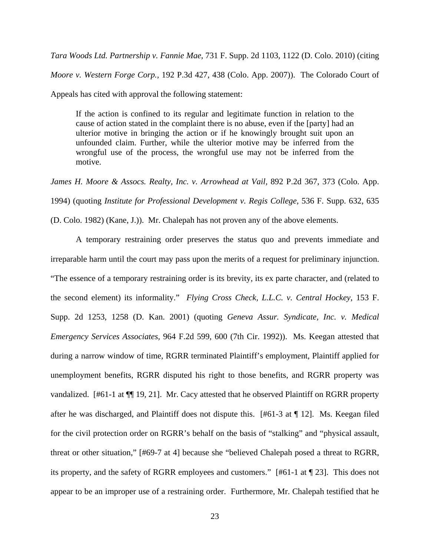*Tara Woods Ltd. Partnership v. Fannie Mae*, 731 F. Supp. 2d 1103, 1122 (D. Colo. 2010) (citing *Moore v. Western Forge Corp.,* 192 P.3d 427, 438 (Colo. App. 2007)). The Colorado Court of Appeals has cited with approval the following statement:

If the action is confined to its regular and legitimate function in relation to the cause of action stated in the complaint there is no abuse, even if the [party] had an ulterior motive in bringing the action or if he knowingly brought suit upon an unfounded claim. Further, while the ulterior motive may be inferred from the wrongful use of the process, the wrongful use may not be inferred from the motive.

*James H. Moore & Assocs. Realty, Inc. v. Arrowhead at Vail,* 892 P.2d 367, 373 (Colo. App. 1994) (quoting *Institute for Professional Development v. Regis College,* 536 F. Supp. 632, 635

(D. Colo. 1982) (Kane, J.)). Mr. Chalepah has not proven any of the above elements.

 A temporary restraining order preserves the status quo and prevents immediate and irreparable harm until the court may pass upon the merits of a request for preliminary injunction. "The essence of a temporary restraining order is its brevity, its ex parte character, and (related to the second element) its informality." *Flying Cross Check, L.L.C. v. Central Hockey*, 153 F. Supp. 2d 1253, 1258 (D. Kan. 2001) (quoting *Geneva Assur. Syndicate, Inc. v. Medical Emergency Services Associates,* 964 F.2d 599, 600 (7th Cir. 1992)). Ms. Keegan attested that during a narrow window of time, RGRR terminated Plaintiff's employment, Plaintiff applied for unemployment benefits, RGRR disputed his right to those benefits, and RGRR property was vandalized. [#61-1 at ¶¶ 19, 21]. Mr. Cacy attested that he observed Plaintiff on RGRR property after he was discharged, and Plaintiff does not dispute this. [#61-3 at ¶ 12]. Ms. Keegan filed for the civil protection order on RGRR's behalf on the basis of "stalking" and "physical assault, threat or other situation," [#69-7 at 4] because she "believed Chalepah posed a threat to RGRR, its property, and the safety of RGRR employees and customers." [#61-1 at ¶ 23]. This does not appear to be an improper use of a restraining order. Furthermore, Mr. Chalepah testified that he